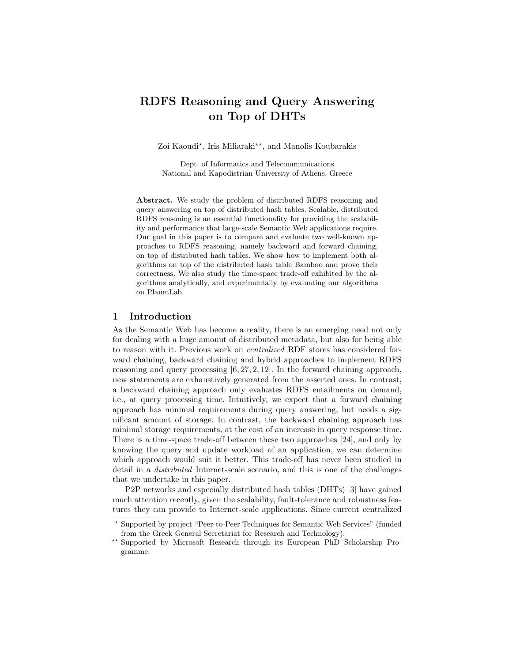# RDFS Reasoning and Query Answering on Top of DHTs

Zoi Kaoudi<sup>\*</sup>, Iris Miliaraki<sup>\*\*</sup>, and Manolis Koubarakis

Dept. of Informatics and Telecommunications National and Kapodistrian University of Athens, Greece

Abstract. We study the problem of distributed RDFS reasoning and query answering on top of distributed hash tables. Scalable, distributed RDFS reasoning is an essential functionality for providing the scalability and performance that large-scale Semantic Web applications require. Our goal in this paper is to compare and evaluate two well-known approaches to RDFS reasoning, namely backward and forward chaining, on top of distributed hash tables. We show how to implement both algorithms on top of the distributed hash table Bamboo and prove their correctness. We also study the time-space trade-off exhibited by the algorithms analytically, and experimentally by evaluating our algorithms on PlanetLab.

# 1 Introduction

As the Semantic Web has become a reality, there is an emerging need not only for dealing with a huge amount of distributed metadata, but also for being able to reason with it. Previous work on centralized RDF stores has considered forward chaining, backward chaining and hybrid approaches to implement RDFS reasoning and query processing [6, 27, 2, 12]. In the forward chaining approach, new statements are exhaustively generated from the asserted ones. In contrast, a backward chaining approach only evaluates RDFS entailments on demand, i.e., at query processing time. Intuitively, we expect that a forward chaining approach has minimal requirements during query answering, but needs a significant amount of storage. In contrast, the backward chaining approach has minimal storage requirements, at the cost of an increase in query response time. There is a time-space trade-off between these two approaches [24], and only by knowing the query and update workload of an application, we can determine which approach would suit it better. This trade-off has never been studied in detail in a distributed Internet-scale scenario, and this is one of the challenges that we undertake in this paper.

P2P networks and especially distributed hash tables (DHTs) [3] have gained much attention recently, given the scalability, fault-tolerance and robustness features they can provide to Internet-scale applications. Since current centralized

<sup>?</sup> Supported by project "Peer-to-Peer Techniques for Semantic Web Services" (funded from the Greek General Secretariat for Research and Technology).

<sup>??</sup> Supported by Microsoft Research through its European PhD Scholarship Programme.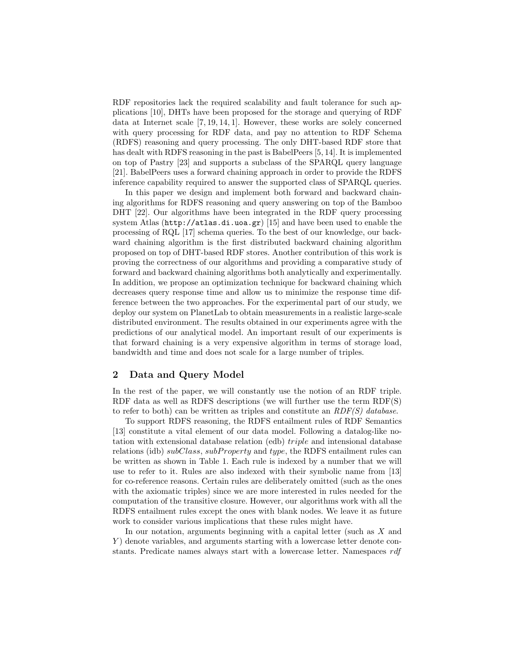RDF repositories lack the required scalability and fault tolerance for such applications [10], DHTs have been proposed for the storage and querying of RDF data at Internet scale [7, 19, 14, 1]. However, these works are solely concerned with query processing for RDF data, and pay no attention to RDF Schema (RDFS) reasoning and query processing. The only DHT-based RDF store that has dealt with RDFS reasoning in the past is BabelPeers [5, 14]. It is implemented on top of Pastry [23] and supports a subclass of the SPARQL query language [21]. BabelPeers uses a forward chaining approach in order to provide the RDFS inference capability required to answer the supported class of SPARQL queries.

In this paper we design and implement both forward and backward chaining algorithms for RDFS reasoning and query answering on top of the Bamboo DHT [22]. Our algorithms have been integrated in the RDF query processing system Atlas (http://atlas.di.uoa.gr) [15] and have been used to enable the processing of RQL [17] schema queries. To the best of our knowledge, our backward chaining algorithm is the first distributed backward chaining algorithm proposed on top of DHT-based RDF stores. Another contribution of this work is proving the correctness of our algorithms and providing a comparative study of forward and backward chaining algorithms both analytically and experimentally. In addition, we propose an optimization technique for backward chaining which decreases query response time and allow us to minimize the response time difference between the two approaches. For the experimental part of our study, we deploy our system on PlanetLab to obtain measurements in a realistic large-scale distributed environment. The results obtained in our experiments agree with the predictions of our analytical model. An important result of our experiments is that forward chaining is a very expensive algorithm in terms of storage load, bandwidth and time and does not scale for a large number of triples.

# 2 Data and Query Model

In the rest of the paper, we will constantly use the notion of an RDF triple. RDF data as well as RDFS descriptions (we will further use the term RDF(S) to refer to both) can be written as triples and constitute an  $RDF(S)$  database.

To support RDFS reasoning, the RDFS entailment rules of RDF Semantics [13] constitute a vital element of our data model. Following a datalog-like notation with extensional database relation (edb) triple and intensional database relations (idb) subClass, subProperty and type, the RDFS entailment rules can be written as shown in Table 1. Each rule is indexed by a number that we will use to refer to it. Rules are also indexed with their symbolic name from [13] for co-reference reasons. Certain rules are deliberately omitted (such as the ones with the axiomatic triples) since we are more interested in rules needed for the computation of the transitive closure. However, our algorithms work with all the RDFS entailment rules except the ones with blank nodes. We leave it as future work to consider various implications that these rules might have.

In our notation, arguments beginning with a capital letter (such as X and Y) denote variables, and arguments starting with a lowercase letter denote constants. Predicate names always start with a lowercase letter. Namespaces rdf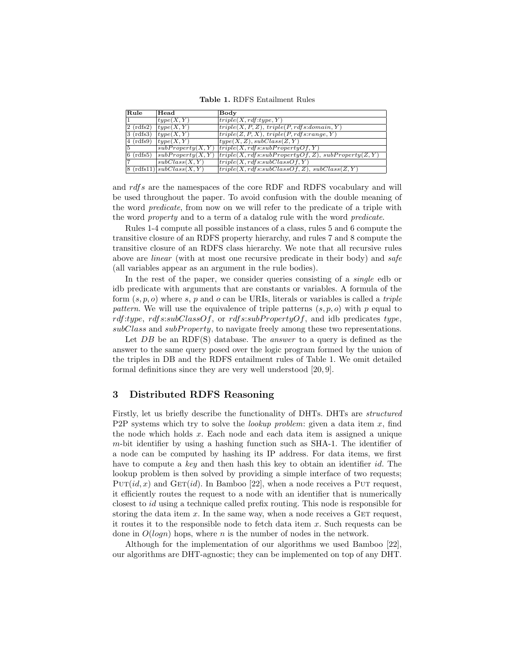Table 1. RDFS Entailment Rules

| Rule                | Head                                     | Body                                                    |
|---------------------|------------------------------------------|---------------------------------------------------------|
|                     | type(X, Y)                               | triple(X, rdf: type, Y)                                 |
| $2 \text{ (rdfs2)}$ | type(X, Y)                               | $ triple(X, P, Z), triple(P, rdfs: domain, Y)$          |
| $3 \text{ (rdfs3)}$ | type(X, Y)                               | $triple(Z, P, X), triple(P, rdfs: range, Y)$            |
| $4 \text{ (rdfs9)}$ | type(X, Y)                               | type(X, Z), subClass(Z, Y)                              |
| 5                   | subProperty(X, Y)                        | triple(X, rdfs:subPropertyOf, Y)                        |
| $6$ (rdfs $5$ )     | subProperty(X, Y)                        | $ triple(X, rdfs:subPropertyOf, Z), subProperty(Z, Y) $ |
|                     | subClass(X, Y)                           | triple(X, rdfs:subClassOf, Y)                           |
|                     | $8 \text{ (rdfs11)} \mid subClass(X, Y)$ | $triple(X, rdfs:subClassOf, Z), subClass(Z, Y)$         |

and rdfs are the namespaces of the core RDF and RDFS vocabulary and will be used throughout the paper. To avoid confusion with the double meaning of the word predicate, from now on we will refer to the predicate of a triple with the word property and to a term of a datalog rule with the word predicate.

Rules 1-4 compute all possible instances of a class, rules 5 and 6 compute the transitive closure of an RDFS property hierarchy, and rules 7 and 8 compute the transitive closure of an RDFS class hierarchy. We note that all recursive rules above are *linear* (with at most one recursive predicate in their body) and safe (all variables appear as an argument in the rule bodies).

In the rest of the paper, we consider queries consisting of a *single* edb or idb predicate with arguments that are constants or variables. A formula of the form  $(s, p, o)$  where s, p and o can be URIs, literals or variables is called a *triple* pattern. We will use the equivalence of triple patterns  $(s, p, o)$  with p equal to  $rdf: type, rdfs: subClassOf, or rdfs: subPropertyOf, and idb predicates type,$ subClass and subProperty, to navigate freely among these two representations.

Let  $DB$  be an RDF(S) database. The *answer* to a query is defined as the answer to the same query posed over the logic program formed by the union of the triples in DB and the RDFS entailment rules of Table 1. We omit detailed formal definitions since they are very well understood [20, 9].

# 3 Distributed RDFS Reasoning

Firstly, let us briefly describe the functionality of DHTs. DHTs are structured P2P systems which try to solve the *lookup problem*: given a data item  $x$ , find the node which holds x. Each node and each data item is assigned a unique m-bit identifier by using a hashing function such as  $SHA-1$ . The identifier of a node can be computed by hashing its IP address. For data items, we first have to compute a key and then hash this key to obtain an identifier id. The lookup problem is then solved by providing a simple interface of two requests;  $PUT(id, x)$  and  $GET(id)$ . In Bamboo [22], when a node receives a PUT request, it efficiently routes the request to a node with an identifier that is numerically closest to id using a technique called prefix routing. This node is responsible for storing the data item  $x$ . In the same way, when a node receives a GET request, it routes it to the responsible node to fetch data item  $x$ . Such requests can be done in  $O(logn)$  hops, where n is the number of nodes in the network.

Although for the implementation of our algorithms we used Bamboo [22], our algorithms are DHT-agnostic; they can be implemented on top of any DHT.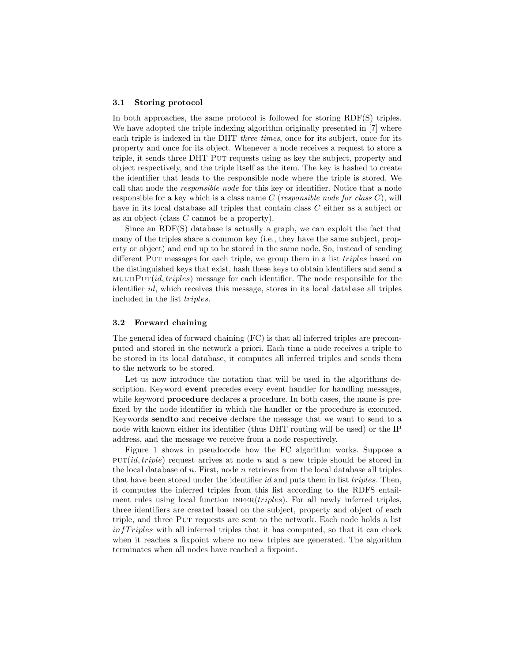#### 3.1 Storing protocol

In both approaches, the same protocol is followed for storing RDF(S) triples. We have adopted the triple indexing algorithm originally presented in [7] where each triple is indexed in the DHT three times, once for its subject, once for its property and once for its object. Whenever a node receives a request to store a triple, it sends three DHT Put requests using as key the subject, property and object respectively, and the triple itself as the item. The key is hashed to create the identifier that leads to the responsible node where the triple is stored. We call that node the responsible node for this key or identifier. Notice that a node responsible for a key which is a class name  $C$  (*responsible node for class C*), will have in its local database all triples that contain class C either as a subject or as an object (class C cannot be a property).

Since an RDF(S) database is actually a graph, we can exploit the fact that many of the triples share a common key (i.e., they have the same subject, property or object) and end up to be stored in the same node. So, instead of sending different Put messages for each triple, we group them in a list *triples* based on the distinguished keys that exist, hash these keys to obtain identifiers and send a  $MULTIPUT(id, triples)$  message for each identifier. The node responsible for the identifier id, which receives this message, stores in its local database all triples included in the list triples.

#### 3.2 Forward chaining

The general idea of forward chaining (FC) is that all inferred triples are precomputed and stored in the network a priori. Each time a node receives a triple to be stored in its local database, it computes all inferred triples and sends them to the network to be stored.

Let us now introduce the notation that will be used in the algorithms description. Keyword **event** precedes every event handler for handling messages, while keyword **procedure** declares a procedure. In both cases, the name is prefixed by the node identifier in which the handler or the procedure is executed. Keywords sendto and receive declare the message that we want to send to a node with known either its identifier (thus DHT routing will be used) or the IP address, and the message we receive from a node respectively.

Figure 1 shows in pseudocode how the FC algorithm works. Suppose a  $PUT(id, triple)$  request arrives at node n and a new triple should be stored in the local database of  $n$ . First, node  $n$  retrieves from the local database all triples that have been stored under the identifier  $id$  and puts them in list triples. Then, it computes the inferred triples from this list according to the RDFS entailment rules using local function  $INFER(triples)$ . For all newly inferred triples, three identifiers are created based on the subject, property and object of each triple, and three Put requests are sent to the network. Each node holds a list  $inf Tribles$  with all inferred triples that it has computed, so that it can check when it reaches a fixpoint where no new triples are generated. The algorithm terminates when all nodes have reached a fixpoint.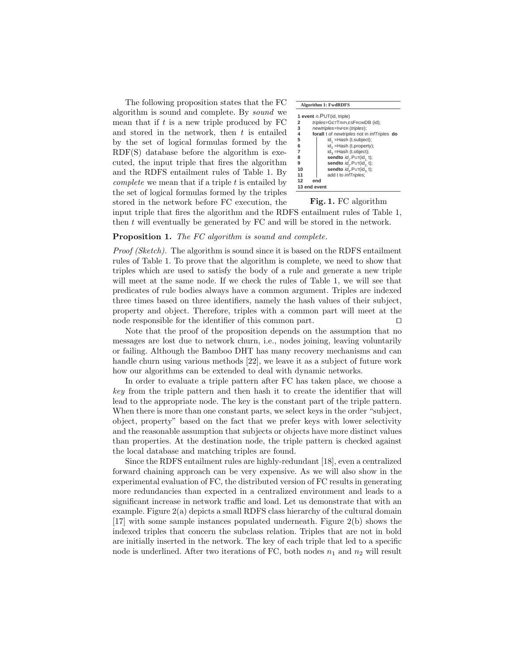The following proposition states that the FC algorithm is sound and complete. By sound we mean that if  $t$  is a new triple produced by  $FC$ and stored in the network, then  $t$  is entailed by the set of logical formulas formed by the RDF(S) database before the algorithm is executed, the input triple that fires the algorithm and the RDFS entailment rules of Table 1. By *complete* we mean that if a triple  $t$  is entailed by the set of logical formulas formed by the triples stored in the network before FC execution, the



#### Fig. 1. FC algorithm

input triple that fires the algorithm and the RDFS entailment rules of Table 1, then t will eventually be generated by FC and will be stored in the network.

### Proposition 1. The FC algorithm is sound and complete.

Proof (Sketch). The algorithm is sound since it is based on the RDFS entailment rules of Table 1. To prove that the algorithm is complete, we need to show that triples which are used to satisfy the body of a rule and generate a new triple will meet at the same node. If we check the rules of Table 1, we will see that predicates of rule bodies always have a common argument. Triples are indexed three times based on three identifiers, namely the hash values of their subject, property and object. Therefore, triples with a common part will meet at the node responsible for the identifier of this common part.  $\Box$ 

Note that the proof of the proposition depends on the assumption that no messages are lost due to network churn, i.e., nodes joining, leaving voluntarily or failing. Although the Bamboo DHT has many recovery mechanisms and can handle churn using various methods [22], we leave it as a subject of future work how our algorithms can be extended to deal with dynamic networks.

In order to evaluate a triple pattern after FC has taken place, we choose a key from the triple pattern and then hash it to create the identifier that will lead to the appropriate node. The key is the constant part of the triple pattern. When there is more than one constant parts, we select keys in the order "subject, object, property" based on the fact that we prefer keys with lower selectivity and the reasonable assumption that subjects or objects have more distinct values than properties. At the destination node, the triple pattern is checked against the local database and matching triples are found.

Since the RDFS entailment rules are highly-redundant [18], even a centralized forward chaining approach can be very expensive. As we will also show in the experimental evaluation of FC, the distributed version of FC results in generating more redundancies than expected in a centralized environment and leads to a significant increase in network traffic and load. Let us demonstrate that with an example. Figure 2(a) depicts a small RDFS class hierarchy of the cultural domain [17] with some sample instances populated underneath. Figure 2(b) shows the indexed triples that concern the subclass relation. Triples that are not in bold are initially inserted in the network. The key of each triple that led to a specific node is underlined. After two iterations of FC, both nodes  $n_1$  and  $n_2$  will result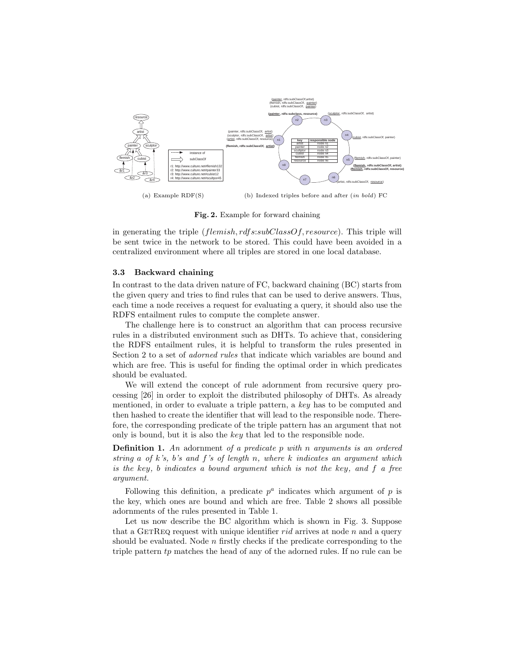

Fig. 2. Example for forward chaining

in generating the triple  $(flemish, rdfssubClassOf, resource)$ . This triple will be sent twice in the network to be stored. This could have been avoided in a centralized environment where all triples are stored in one local database.

#### 3.3 Backward chaining

In contrast to the data driven nature of FC, backward chaining (BC) starts from the given query and tries to find rules that can be used to derive answers. Thus, each time a node receives a request for evaluating a query, it should also use the RDFS entailment rules to compute the complete answer.

The challenge here is to construct an algorithm that can process recursive rules in a distributed environment such as DHTs. To achieve that, considering the RDFS entailment rules, it is helpful to transform the rules presented in Section 2 to a set of adorned rules that indicate which variables are bound and which are free. This is useful for finding the optimal order in which predicates should be evaluated.

We will extend the concept of rule adornment from recursive query processing [26] in order to exploit the distributed philosophy of DHTs. As already mentioned, in order to evaluate a triple pattern, a key has to be computed and then hashed to create the identifier that will lead to the responsible node. Therefore, the corresponding predicate of the triple pattern has an argument that not only is bound, but it is also the key that led to the responsible node.

**Definition 1.** An adornment of a predicate p with n arguments is an ordered string a of  $k$ 's,  $b$ 's and  $f$ 's of length n, where  $k$  indicates an argument which is the key, b indicates a bound argument which is not the key, and f a free argument.

Following this definition, a predicate  $p^a$  indicates which argument of p is the key, which ones are bound and which are free. Table 2 shows all possible adornments of the rules presented in Table 1.

Let us now describe the BC algorithm which is shown in Fig. 3. Suppose that a GETREQ request with unique identifier  $rid$  arrives at node n and a query should be evaluated. Node  $n$  firstly checks if the predicate corresponding to the triple pattern tp matches the head of any of the adorned rules. If no rule can be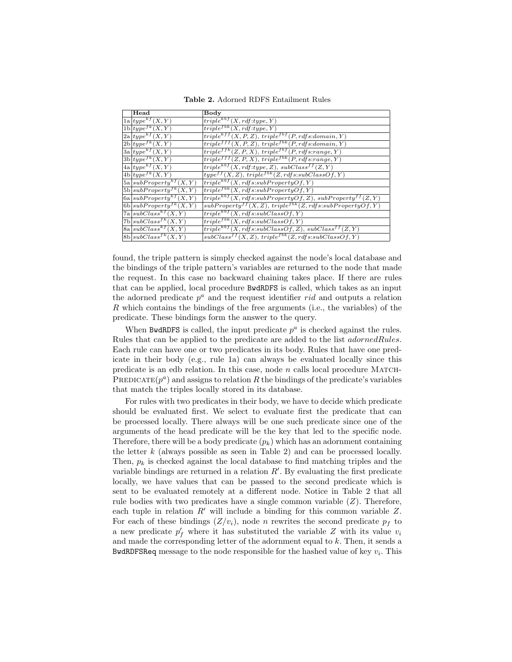Table 2. Adorned RDFS Entailment Rules

| Head                                   | Body                                                                        |
|----------------------------------------|-----------------------------------------------------------------------------|
| $1a   type^{kf}(X, Y)$                 | $triple^{kb}f(X, rdf: type, Y)$                                             |
| $1{\rm b}$ type <sup>fk</sup> $(X, Y)$ | $triple^{fbk}(X, rdf: type, Y)$                                             |
| $2a   type^{kf}(X, Y)$                 | $triple^{k}f(X,P,Z), triple^{fbf}(P, rdfs:domain, Y)$                       |
| $2b$ $\sqrt{type^{fk}(X,Y)}$           | $triplet^{ff}(X, P, Z)$ , triple <sup>fbk</sup> $(P, rdfs: domain, Y)$      |
| $3a   type^{kf}(X,Y)$                  | $triplet^{ffk}(Z, P, X), triple^{ff}(P, rdfs: range, Y)$                    |
| $3b   type^{fk}(X, Y)$                 | $triplet^{ff}(Z, P, X), triple^{fbk}(P, rdfs: range, Y)$                    |
| $4a$ type <sup>kf</sup> $(X, Y)$       | $triple^{kbf}(X, rdf: type, Z), subClass^{ff}(Z, Y)$                        |
| $4b   type^{fk}(X, Y)$                 | $type^{ff}(X, Z)$ , triple <sup>fbk</sup> $(Z, rdfs : subClassOf, Y)$       |
| 5a subProperty <sup>kf</sup> (X,Y)     | $ triple^{kb}f(X, rdfs:subPropertyOf, Y) $                                  |
| $5b \mid subProperty^{fk}(X, Y)$       | $\overline{triple}^{fbk}(X, rdfs:subPropertyOf, Y)$                         |
| 6a subProperty <sup>kf</sup> (X,Y)     | $\frac{1}{2}triple^{kbf}(X, rdfs:subPropertyOf, Z), subProperty^{ff}(Z, Y)$ |
| 6b $subPropertyfk(X, Y)$               | $subPropertyff(X, Z), triplefbk(Z, rdfs:subPropertyOf, Y)$                  |
| 7a subClass <sup>kf</sup> (X,Y)        | $triple^{kb}f(X, rdfs:subClassOf, Y)$                                       |
| $7b subClass^{fk}(X, Y)$               | $triple^{fbk}(X, rdfs:subClassOf, Y)$                                       |
| 8a subClass <sup>kf</sup> (X, Y)       | $triple^{kbf}(X, rdfs:subClassOf, Z), subClass^{ff}(Z, Y)$                  |
| $8b subClass^{fk}(X, Y)$               | $subClass^{ff}(X, Z), triple^{fbk}(Z, rdfs:subClassOf, Y)$                  |

found, the triple pattern is simply checked against the node's local database and the bindings of the triple pattern's variables are returned to the node that made the request. In this case no backward chaining takes place. If there are rules that can be applied, local procedure BwdRDFS is called, which takes as an input the adorned predicate  $p^a$  and the request identifier *rid* and outputs a relation R which contains the bindings of the free arguments (i.e., the variables) of the predicate. These bindings form the answer to the query.

When BwdRDFS is called, the input predicate  $p^a$  is checked against the rules. Rules that can be applied to the predicate are added to the list adornedRules. Each rule can have one or two predicates in its body. Rules that have one predicate in their body (e.g., rule 1a) can always be evaluated locally since this predicate is an edb relation. In this case, node n calls local procedure Match-PREDICATE $(p^a)$  and assigns to relation R the bindings of the predicate's variables that match the triples locally stored in its database.

For rules with two predicates in their body, we have to decide which predicate should be evaluated first. We select to evaluate first the predicate that can be processed locally. There always will be one such predicate since one of the arguments of the head predicate will be the key that led to the specific node. Therefore, there will be a body predicate  $(p_k)$  which has an adornment containing the letter  $k$  (always possible as seen in Table 2) and can be processed locally. Then,  $p_k$  is checked against the local database to find matching triples and the variable bindings are returned in a relation  $R'$ . By evaluating the first predicate locally, we have values that can be passed to the second predicate which is sent to be evaluated remotely at a different node. Notice in Table 2 that all rule bodies with two predicates have a single common variable  $(Z)$ . Therefore, each tuple in relation  $R'$  will include a binding for this common variable Z. For each of these bindings  $(Z/v_i)$ , node *n* rewrites the second predicate  $p_f$  to a new predicate  $p'_f$  where it has substituted the variable Z with its value  $v_i$ and made the corresponding letter of the adornment equal to  $k$ . Then, it sends a BwdRDFSReq message to the node responsible for the hashed value of key  $v_i$ . This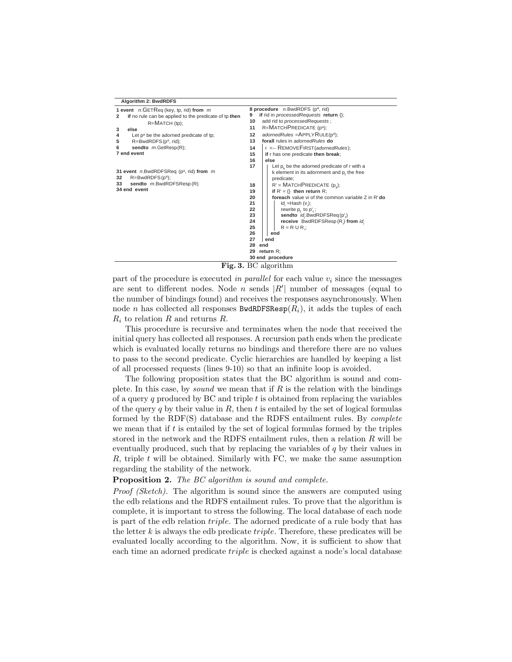

Fig. 3. BC algorithm

part of the procedure is executed in parallel for each value  $v_i$  since the messages are sent to different nodes. Node  $n$  sends  $|R'|$  number of messages (equal to the number of bindings found) and receives the responses asynchronously. When node n has collected all responses  $\text{BwdRDFSResp}(R_i)$ , it adds the tuples of each  $R_i$  to relation R and returns R.

This procedure is recursive and terminates when the node that received the initial query has collected all responses. A recursion path ends when the predicate which is evaluated locally returns no bindings and therefore there are no values to pass to the second predicate. Cyclic hierarchies are handled by keeping a list of all processed requests (lines 9-10) so that an infinite loop is avoided.

The following proposition states that the BC algorithm is sound and complete. In this case, by *sound* we mean that if  $R$  is the relation with the bindings of a query q produced by BC and triple  $t$  is obtained from replacing the variables of the query q by their value in  $R$ , then t is entailed by the set of logical formulas formed by the RDF(S) database and the RDFS entailment rules. By complete we mean that if  $t$  is entailed by the set of logical formulas formed by the triples stored in the network and the RDFS entailment rules, then a relation R will be eventually produced, such that by replacing the variables of  $q$  by their values in  $R$ , triple  $t$  will be obtained. Similarly with FC, we make the same assumption regarding the stability of the network.

#### Proposition 2. The BC algorithm is sound and complete.

Proof (Sketch). The algorithm is sound since the answers are computed using the edb relations and the RDFS entailment rules. To prove that the algorithm is complete, it is important to stress the following. The local database of each node is part of the edb relation triple. The adorned predicate of a rule body that has the letter  $k$  is always the edb predicate *triple*. Therefore, these predicates will be evaluated locally according to the algorithm. Now, it is sufficient to show that each time an adorned predicate triple is checked against a node's local database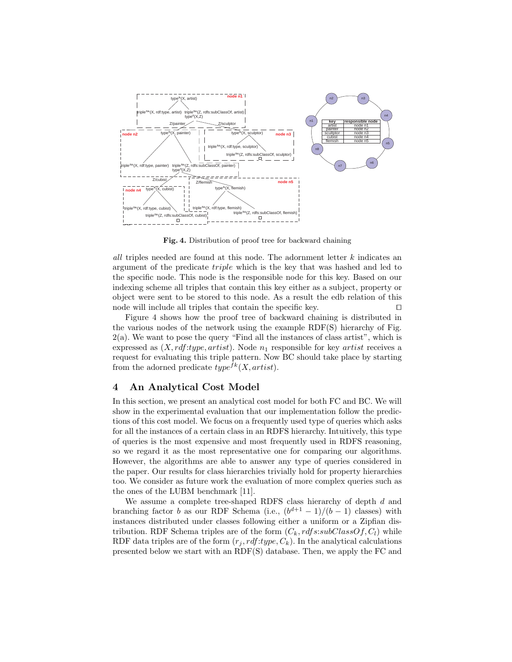

Fig. 4. Distribution of proof tree for backward chaining

all triples needed are found at this node. The adornment letter k indicates an argument of the predicate triple which is the key that was hashed and led to the specific node. This node is the responsible node for this key. Based on our indexing scheme all triples that contain this key either as a subject, property or object were sent to be stored to this node. As a result the edb relation of this node will include all triples that contain the specific key.  $\Box$ 

Figure 4 shows how the proof tree of backward chaining is distributed in the various nodes of the network using the example RDF(S) hierarchy of Fig.  $2(a)$ . We want to pose the query "Find all the instances of class artist", which is expressed as  $(X, rdf: type, artist)$ . Node  $n_1$  responsible for key *artist* receives a request for evaluating this triple pattern. Now BC should take place by starting from the adorned predicate  $type^{fk}(X, artist)$ .

# 4 An Analytical Cost Model

In this section, we present an analytical cost model for both FC and BC. We will show in the experimental evaluation that our implementation follow the predictions of this cost model. We focus on a frequently used type of queries which asks for all the instances of a certain class in an RDFS hierarchy. Intuitively, this type of queries is the most expensive and most frequently used in RDFS reasoning, so we regard it as the most representative one for comparing our algorithms. However, the algorithms are able to answer any type of queries considered in the paper. Our results for class hierarchies trivially hold for property hierarchies too. We consider as future work the evaluation of more complex queries such as the ones of the LUBM benchmark [11].

We assume a complete tree-shaped RDFS class hierarchy of depth d and branching factor b as our RDF Schema (i.e.,  $(b^{d+1} - 1)/(b - 1)$  classes) with instances distributed under classes following either a uniform or a Zipfian distribution. RDF Schema triples are of the form  $(C_k, rdfs:subClassOf, C_l)$  while RDF data triples are of the form  $(r_j, rdf:type, C_k)$ . In the analytical calculations presented below we start with an RDF(S) database. Then, we apply the FC and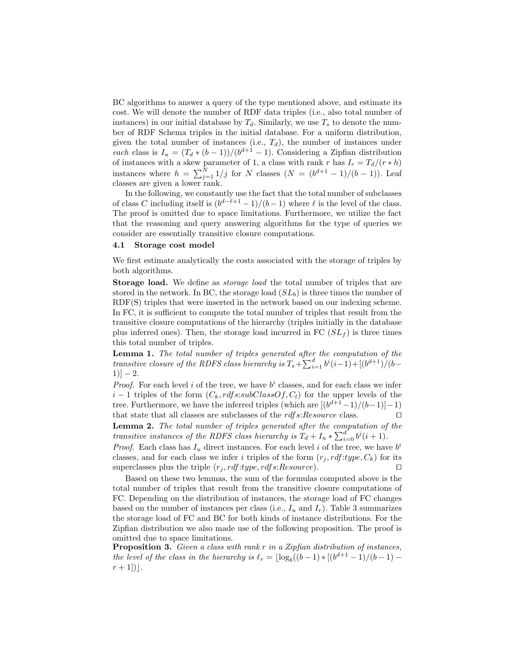BC algorithms to answer a query of the type mentioned above, and estimate its cost. We will denote the number of RDF data triples (i.e., also total number of instances) in our initial database by  $T_d$ . Similarly, we use  $T_s$  to denote the number of RDF Schema triples in the initial database. For a uniform distribution, given the total number of instances (i.e.,  $T_d$ ), the number of instances under each class is  $I_u = (T_d * (b-1))/(b^{d+1} - 1)$ . Considering a Zipfian distribution of instances with a skew parameter of 1, a class with rank r has  $I_r = T_d/(r * h)$ instances where  $h = \sum_{j=1}^{N} 1/j$  for N classes  $(N = (b^{d+1} - 1)/(b - 1))$ . Leaf classes are given a lower rank.

In the following, we constantly use the fact that the total number of subclasses of class C including itself is  $(b^{d-\ell+1}-1)/(b-1)$  where  $\ell$  is the level of the class. The proof is omitted due to space limitations. Furthermore, we utilize the fact that the reasoning and query answering algorithms for the type of queries we consider are essentially transitive closure computations.

#### 4.1 Storage cost model

We first estimate analytically the costs associated with the storage of triples by both algorithms.

Storage load. We define as storage load the total number of triples that are stored in the network. In BC, the storage load  $(SL_b)$  is three times the number of RDF(S) triples that were inserted in the network based on our indexing scheme. In FC, it is sufficient to compute the total number of triples that result from the transitive closure computations of the hierarchy (triples initially in the database plus inferred ones). Then, the storage load incurred in  $FC(SL_f)$  is three times this total number of triples.

**Lemma 1.** The total number of triples generated after the computation of the transitive closure of the RDFS class hierarchy is  $T_s + \sum_{i=1}^d b^i(i-1) + [(b^{d+1})/(b-1)]$  $1)$ ]  $-2$ .

*Proof.* For each level i of the tree, we have  $b^i$  classes, and for each class we infer  $i-1$  triples of the form  $(C_k, rdfs:subClassOf, C_l)$  for the upper levels of the tree. Furthermore, we have the inferred triples (which are  $[(b^{d+1}-1)/(b-1)]-1$ ) that state that all classes are subclasses of the  $rdfs:Resource$  class.  $\square$ 

Lemma 2. The total number of triples generated after the computation of the transitive instances of the RDFS class hierarchy is  $T_d + I_u * \sum_{i=0}^{d} b^i (i + 1)$ .

*Proof.* Each class has  $I_u$  direct instances. For each level i of the tree, we have  $b^i$ classes, and for each class we infer i triples of the form  $(r_j, rdf: type, C_k)$  for its superclasses plus the triple  $(r_j, rdf. type, rdfs:Resource)$ .

Based on these two lemmas, the sum of the formulas computed above is the total number of triples that result from the transitive closure computations of FC. Depending on the distribution of instances, the storage load of FC changes based on the number of instances per class (i.e.,  $I_u$  and  $I_r$ ). Table 3 summarizes the storage load of FC and BC for both kinds of instance distributions. For the Zipfian distribution we also made use of the following proposition. The proof is omitted due to space limitations.

**Proposition 3.** Given a class with rank  $r$  in a Zipfian distribution of instances, the level of the class in the hierarchy is  $\ell_r = \lfloor \log_b((b-1) * [(b^{d+1}-1)/(b-1)$  $r + 1$ .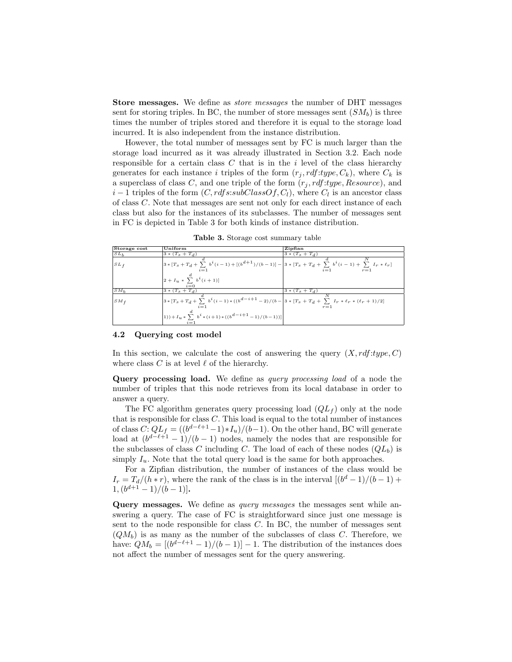**Store messages.** We define as *store messages* the number of DHT messages sent for storing triples. In BC, the number of store messages sent  $(SM_b)$  is three times the number of triples stored and therefore it is equal to the storage load incurred. It is also independent from the instance distribution.

However, the total number of messages sent by FC is much larger than the storage load incurred as it was already illustrated in Section 3.2. Each node responsible for a certain class  $C$  that is in the i level of the class hierarchy generates for each instance i triples of the form  $(r_j, rdf: type, C_k)$ , where  $C_k$  is a superclass of class C, and one triple of the form  $(r_j, rdf: type, Resource)$ , and  $i-1$  triples of the form  $(C, rdfs:subClassOf, C_l)$ , where  $C_l$  is an ancestor class of class C. Note that messages are sent not only for each direct instance of each class but also for the instances of its subclasses. The number of messages sent in FC is depicted in Table 3 for both kinds of instance distribution.

| Storage cost | Uniform                                                                                                                                                                        | Zipfian       |
|--------------|--------------------------------------------------------------------------------------------------------------------------------------------------------------------------------|---------------|
| $SL_b$       | $3*(T_s+T_d)$                                                                                                                                                                  | $3*(T_s+T_d)$ |
| $SL_f$       | $\left 3*[T_s+T_d+\sum\limits_{i=1}^{\infty}b^i(i-1)+[(b^{d+1})/(b-1)]- \right 3*[T_s+T_d+\sum\limits_{i=1}^{\infty}b^i(i-1)+\sum\limits_{r=1}I_r*\ell_r]$                     |               |
|              | $2 + I_u * \sum_{i=1}^{d} b^{i} (i+1)$<br>$i=0$                                                                                                                                |               |
| $SM_h$       | $3*(T_s+T_d)$                                                                                                                                                                  | $3*(T_s+T_d)$ |
| $SM_f$       | $\left 3*[T_{\mathcal{S}}+T_{d}+\sum\limits_{i=1}^{^\sim}b^i(i-1)*((b^{d-i+1}-2)/(b-\left 3*[T_{\mathcal{S}}+T_{d}+\sum\limits_{r}^{N}]I_r*\ell_r*(\ell_r+1)/2]\right.\right.$ | $r-1$         |
|              | $\left  1) \right\rangle + I_u * \sum_{i=1}^d b^i * (i+1) * ((b^{d-i+1}-1)/(b-1))]$<br>$i - 1$                                                                                 |               |

Table 3. Storage cost summary table

#### 4.2 Querying cost model

In this section, we calculate the cost of answering the query  $(X, rdf: type, C)$ where class C is at level  $\ell$  of the hierarchy.

Query processing load. We define as *query processing load* of a node the number of triples that this node retrieves from its local database in order to answer a query.

The FC algorithm generates query processing load  $(QL_f)$  only at the node that is responsible for class C. This load is equal to the total number of instances of class  $C: QL_f = ((b^{d-\ell+1}-1) * I_u)/(b-1)$ . On the other hand, BC will generate load at  $(b^{d-\ell+1}-1)/(b-1)$  nodes, namely the nodes that are responsible for the subclasses of class C including C. The load of each of these nodes  $(QL_b)$  is simply  $I_u$ . Note that the total query load is the same for both approaches.

For a Zipfian distribution, the number of instances of the class would be  $I_r = T_d/(h*r)$ , where the rank of the class is in the interval  $[(b^d-1)/(b-1) +$  $1, (b^{d+1}-1)/(b-1)$ .

Query messages. We define as *query messages* the messages sent while answering a query. The case of FC is straightforward since just one message is sent to the node responsible for class  $C$ . In BC, the number of messages sent  $(QM_b)$  is as many as the number of the subclasses of class C. Therefore, we have:  $QM_b = [(b^{d-\ell+1}-1)/(b-1)] - 1$ . The distribution of the instances does not affect the number of messages sent for the query answering.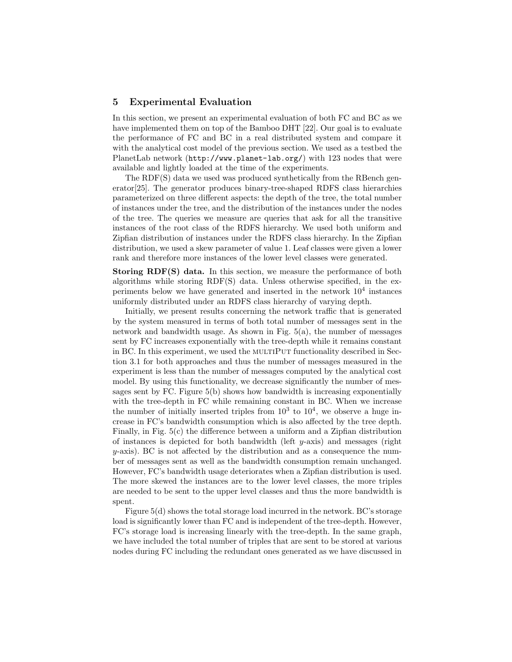# 5 Experimental Evaluation

In this section, we present an experimental evaluation of both FC and BC as we have implemented them on top of the Bamboo DHT [22]. Our goal is to evaluate the performance of FC and BC in a real distributed system and compare it with the analytical cost model of the previous section. We used as a testbed the PlanetLab network (http://www.planet-lab.org/) with 123 nodes that were available and lightly loaded at the time of the experiments.

The RDF(S) data we used was produced synthetically from the RBench generator[25]. The generator produces binary-tree-shaped RDFS class hierarchies parameterized on three different aspects: the depth of the tree, the total number of instances under the tree, and the distribution of the instances under the nodes of the tree. The queries we measure are queries that ask for all the transitive instances of the root class of the RDFS hierarchy. We used both uniform and Zipfian distribution of instances under the RDFS class hierarchy. In the Zipfian distribution, we used a skew parameter of value 1. Leaf classes were given a lower rank and therefore more instances of the lower level classes were generated.

Storing RDF(S) data. In this section, we measure the performance of both algorithms while storing RDF(S) data. Unless otherwise specified, in the experiments below we have generated and inserted in the network  $10^4$  instances uniformly distributed under an RDFS class hierarchy of varying depth.

Initially, we present results concerning the network traffic that is generated by the system measured in terms of both total number of messages sent in the network and bandwidth usage. As shown in Fig. 5(a), the number of messages sent by FC increases exponentially with the tree-depth while it remains constant in BC. In this experiment, we used the MULTIPUT functionality described in Section 3.1 for both approaches and thus the number of messages measured in the experiment is less than the number of messages computed by the analytical cost model. By using this functionality, we decrease significantly the number of messages sent by FC. Figure 5(b) shows how bandwidth is increasing exponentially with the tree-depth in FC while remaining constant in BC. When we increase the number of initially inserted triples from  $10^3$  to  $10^4$ , we observe a huge increase in FC's bandwidth consumption which is also affected by the tree depth. Finally, in Fig. 5(c) the difference between a uniform and a Zipfian distribution of instances is depicted for both bandwidth (left y-axis) and messages (right  $y$ -axis). BC is not affected by the distribution and as a consequence the number of messages sent as well as the bandwidth consumption remain unchanged. However, FC's bandwidth usage deteriorates when a Zipfian distribution is used. The more skewed the instances are to the lower level classes, the more triples are needed to be sent to the upper level classes and thus the more bandwidth is spent.

Figure 5(d) shows the total storage load incurred in the network. BC's storage load is significantly lower than FC and is independent of the tree-depth. However, FC's storage load is increasing linearly with the tree-depth. In the same graph, we have included the total number of triples that are sent to be stored at various nodes during FC including the redundant ones generated as we have discussed in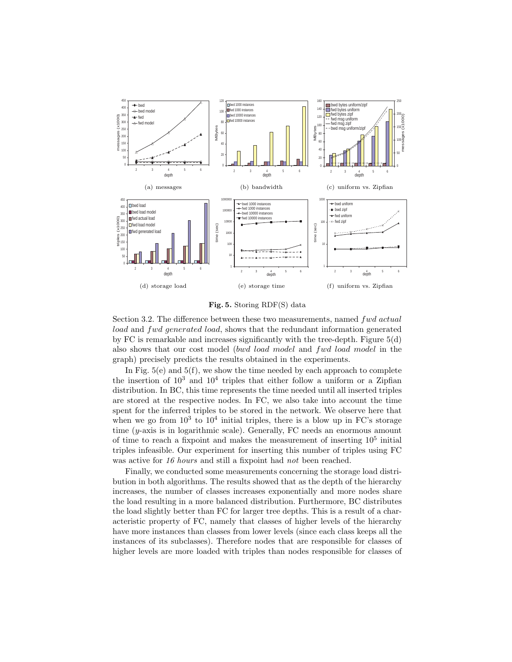

Fig. 5. Storing RDF(S) data

Section 3.2. The difference between these two measurements, named fwd actual load and fwd generated load, shows that the redundant information generated by FC is remarkable and increases significantly with the tree-depth. Figure 5(d) also shows that our cost model (bwd load model and fwd load model in the graph) precisely predicts the results obtained in the experiments.

In Fig.  $5(e)$  and  $5(f)$ , we show the time needed by each approach to complete the insertion of  $10^3$  and  $10^4$  triples that either follow a uniform or a Zipfian distribution. In BC, this time represents the time needed until all inserted triples are stored at the respective nodes. In FC, we also take into account the time spent for the inferred triples to be stored in the network. We observe here that when we go from  $10^3$  to  $10^4$  initial triples, there is a blow up in FC's storage time  $(y\text{-axis}$  is in logarithmic scale). Generally, FC needs an enormous amount of time to reach a fixpoint and makes the measurement of inserting  $10<sup>5</sup>$  initial triples infeasible. Our experiment for inserting this number of triples using FC was active for 16 hours and still a fixpoint had not been reached.

Finally, we conducted some measurements concerning the storage load distribution in both algorithms. The results showed that as the depth of the hierarchy increases, the number of classes increases exponentially and more nodes share the load resulting in a more balanced distribution. Furthermore, BC distributes the load slightly better than FC for larger tree depths. This is a result of a characteristic property of FC, namely that classes of higher levels of the hierarchy have more instances than classes from lower levels (since each class keeps all the instances of its subclasses). Therefore nodes that are responsible for classes of higher levels are more loaded with triples than nodes responsible for classes of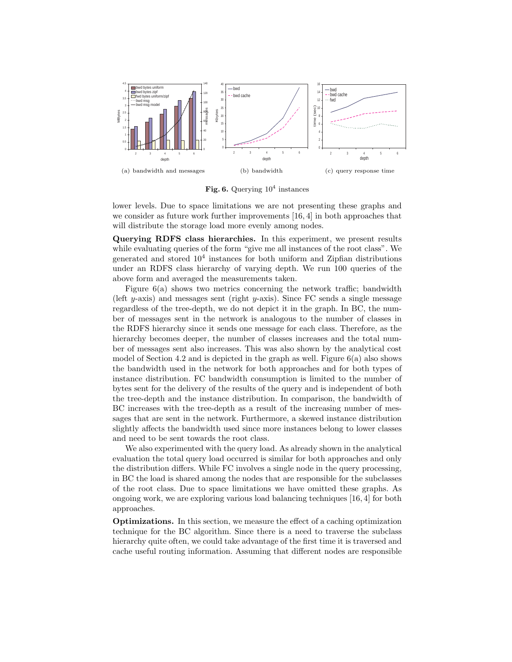

Fig. 6. Querying  $10^4$  instances

lower levels. Due to space limitations we are not presenting these graphs and we consider as future work further improvements [16, 4] in both approaches that will distribute the storage load more evenly among nodes.

Querying RDFS class hierarchies. In this experiment, we present results while evaluating queries of the form "give me all instances of the root class". We generated and stored  $10^4$  instances for both uniform and Zipfian distributions under an RDFS class hierarchy of varying depth. We run 100 queries of the above form and averaged the measurements taken.

Figure  $6(a)$  shows two metrics concerning the network traffic; bandwidth (left  $y$ -axis) and messages sent (right  $y$ -axis). Since FC sends a single message regardless of the tree-depth, we do not depict it in the graph. In BC, the number of messages sent in the network is analogous to the number of classes in the RDFS hierarchy since it sends one message for each class. Therefore, as the hierarchy becomes deeper, the number of classes increases and the total number of messages sent also increases. This was also shown by the analytical cost model of Section 4.2 and is depicted in the graph as well. Figure  $6(a)$  also shows the bandwidth used in the network for both approaches and for both types of instance distribution. FC bandwidth consumption is limited to the number of bytes sent for the delivery of the results of the query and is independent of both the tree-depth and the instance distribution. In comparison, the bandwidth of BC increases with the tree-depth as a result of the increasing number of messages that are sent in the network. Furthermore, a skewed instance distribution slightly affects the bandwidth used since more instances belong to lower classes and need to be sent towards the root class.

We also experimented with the query load. As already shown in the analytical evaluation the total query load occurred is similar for both approaches and only the distribution differs. While FC involves a single node in the query processing, in BC the load is shared among the nodes that are responsible for the subclasses of the root class. Due to space limitations we have omitted these graphs. As ongoing work, we are exploring various load balancing techniques [16, 4] for both approaches.

Optimizations. In this section, we measure the effect of a caching optimization technique for the BC algorithm. Since there is a need to traverse the subclass hierarchy quite often, we could take advantage of the first time it is traversed and cache useful routing information. Assuming that different nodes are responsible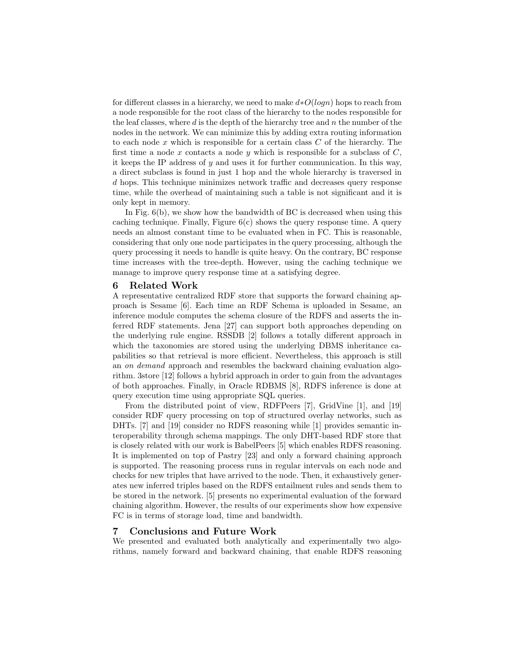for different classes in a hierarchy, we need to make  $d*O(logn)$  hops to reach from a node responsible for the root class of the hierarchy to the nodes responsible for the leaf classes, where  $d$  is the depth of the hierarchy tree and  $n$  the number of the nodes in the network. We can minimize this by adding extra routing information to each node  $x$  which is responsible for a certain class  $C$  of the hierarchy. The first time a node x contacts a node y which is responsible for a subclass of  $C$ , it keeps the IP address of  $\eta$  and uses it for further communication. In this way, a direct subclass is found in just 1 hop and the whole hierarchy is traversed in d hops. This technique minimizes network traffic and decreases query response time, while the overhead of maintaining such a table is not significant and it is only kept in memory.

In Fig.  $6(b)$ , we show how the bandwidth of BC is decreased when using this caching technique. Finally, Figure  $6(c)$  shows the query response time. A query needs an almost constant time to be evaluated when in FC. This is reasonable, considering that only one node participates in the query processing, although the query processing it needs to handle is quite heavy. On the contrary, BC response time increases with the tree-depth. However, using the caching technique we manage to improve query response time at a satisfying degree.

# 6 Related Work

A representative centralized RDF store that supports the forward chaining approach is Sesame [6]. Each time an RDF Schema is uploaded in Sesame, an inference module computes the schema closure of the RDFS and asserts the inferred RDF statements. Jena [27] can support both approaches depending on the underlying rule engine. RSSDB [2] follows a totally different approach in which the taxonomies are stored using the underlying DBMS inheritance capabilities so that retrieval is more efficient. Nevertheless, this approach is still an on demand approach and resembles the backward chaining evaluation algorithm. 3store [12] follows a hybrid approach in order to gain from the advantages of both approaches. Finally, in Oracle RDBMS [8], RDFS inference is done at query execution time using appropriate SQL queries.

From the distributed point of view, RDFPeers [7], GridVine [1], and [19] consider RDF query processing on top of structured overlay networks, such as DHTs. [7] and [19] consider no RDFS reasoning while [1] provides semantic interoperability through schema mappings. The only DHT-based RDF store that is closely related with our work is BabelPeers [5] which enables RDFS reasoning. It is implemented on top of Pastry [23] and only a forward chaining approach is supported. The reasoning process runs in regular intervals on each node and checks for new triples that have arrived to the node. Then, it exhaustively generates new inferred triples based on the RDFS entailment rules and sends them to be stored in the network. [5] presents no experimental evaluation of the forward chaining algorithm. However, the results of our experiments show how expensive FC is in terms of storage load, time and bandwidth.

# 7 Conclusions and Future Work

We presented and evaluated both analytically and experimentally two algorithms, namely forward and backward chaining, that enable RDFS reasoning